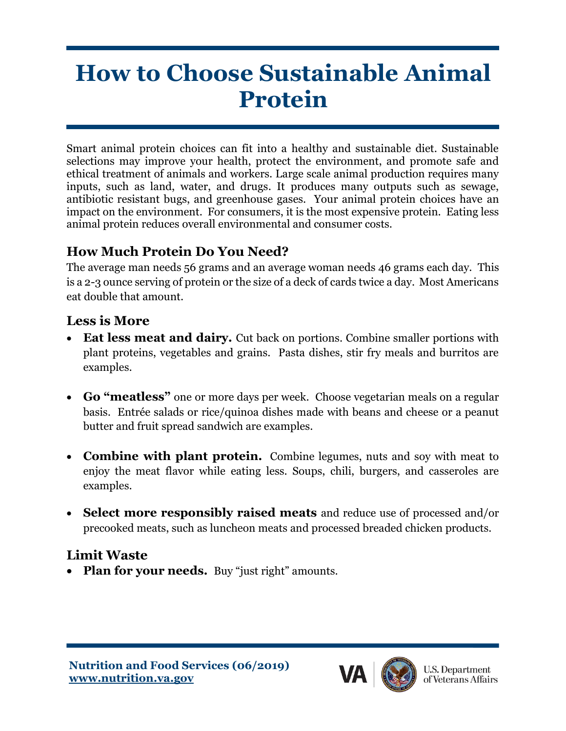# **How to Choose Sustainable Animal Protein**

Smart animal protein choices can fit into a healthy and sustainable diet. Sustainable selections may improve your health, protect the environment, and promote safe and ethical treatment of animals and workers. Large scale animal production requires many inputs, such as land, water, and drugs. It produces many outputs such as sewage, antibiotic resistant bugs, and greenhouse gases. Your animal protein choices have an impact on the environment. For consumers, it is the most expensive protein. Eating less animal protein reduces overall environmental and consumer costs.

## **How Much Protein Do You Need?**

The average man needs 56 grams and an average woman needs 46 grams each day. This is a 2-3 ounce serving of protein or the size of a deck of cards twice a day. Most Americans eat double that amount.

#### **Less is More**

- **Eat less meat and dairy.** Cut back on portions. Combine smaller portions with plant proteins, vegetables and grains. Pasta dishes, stir fry meals and burritos are examples.
- **Go "meatless"** one or more days per week. Choose vegetarian meals on a regular basis. Entrée salads or rice/quinoa dishes made with beans and cheese or a peanut butter and fruit spread sandwich are examples.
- **Combine with plant protein.** Combine legumes, nuts and soy with meat to enjoy the meat flavor while eating less. Soups, chili, burgers, and casseroles are examples.
- **Select more responsibly raised meats** and reduce use of processed and/or precooked meats, such as luncheon meats and processed breaded chicken products.

## **Limit Waste**

• **Plan for your needs.** Buy "just right" amounts.

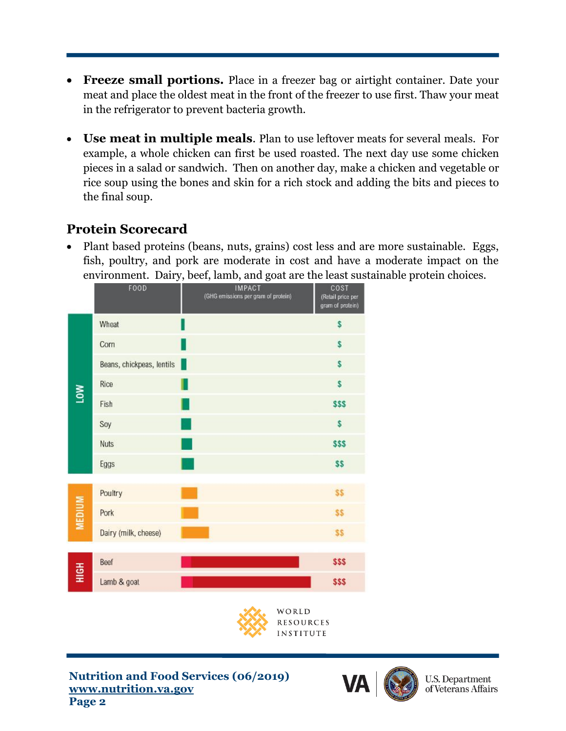- **Freeze small portions.** Place in a freezer bag or airtight container. Date your meat and place the oldest meat in the front of the freezer to use first. Thaw your meat in the refrigerator to prevent bacteria growth.
- **Use meat in multiple meals**. Plan to use leftover meats for several meals. For example, a whole chicken can first be used roasted. The next day use some chicken pieces in a salad or sandwich. Then on another day, make a chicken and vegetable or rice soup using the bones and skin for a rich stock and adding the bits and pieces to the final soup.

## **Protein Scorecard**

• Plant based proteins (beans, nuts, grains) cost less and are more sustainable. Eggs, fish, poultry, and pork are moderate in cost and have a moderate impact on the environment. Dairy, beef, lamb, and goat are the least sustainable protein choices.







**U.S. Department** of Veterans Affairs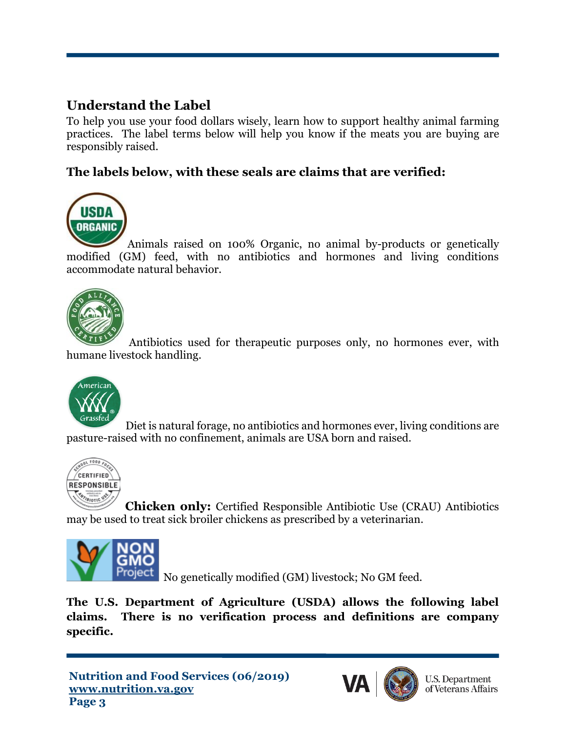## **Understand the Label**

To help you use your food dollars wisely, learn how to support healthy animal farming practices. The label terms below will help you know if the meats you are buying are responsibly raised.

#### **The labels below, with these seals are claims that are verified:**



Animals raised on 100% Organic, no animal by-products or genetically modified (GM) feed, with no antibiotics and hormones and living conditions accommodate natural behavior.



Antibiotics used for therapeutic purposes only, no hormones ever, with humane livestock handling.



Diet is natural forage, no antibiotics and hormones ever, living conditions are pasture-raised with no confinement, animals are USA born and raised.



**Chicken only:** Certified Responsible Antibiotic Use (CRAU) Antibiotics may be used to treat sick broiler chickens as prescribed by a veterinarian.



Project No genetically modified (GM) livestock; No GM feed.

**The U.S. Department of Agriculture (USDA) allows the following label claims. There is no verification process and definitions are company specific.**



**U.S. Department** of Veterans Affairs